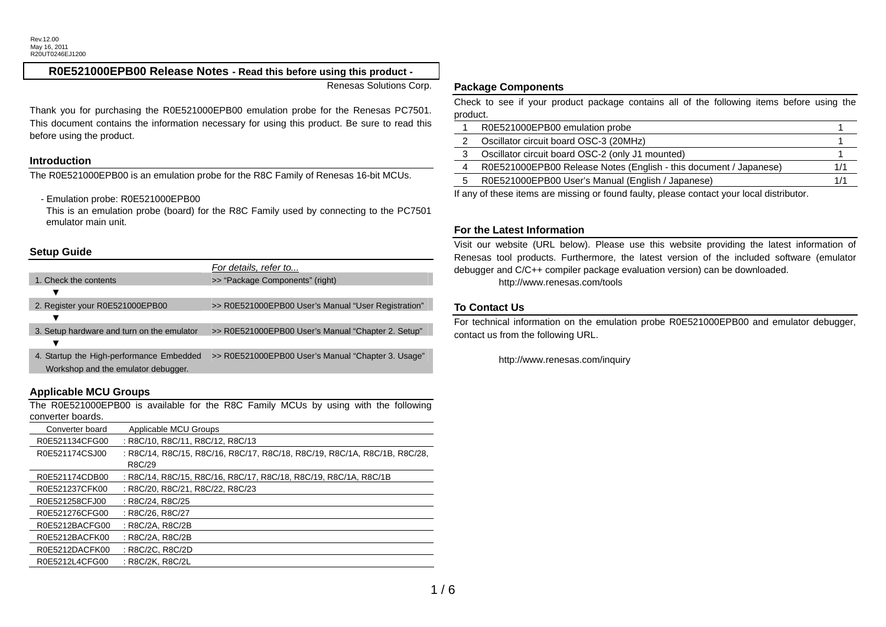## **R0E521000EPB00 Release Notes - Read this before using this product -**

Renesas Solutions Corp.

Thank you for purchasing the R0E521000EPB00 emulation probe for the Renesas PC7501. This document contains the information necessary for using this product. Be sure to read this before using the product.

#### **Introduction**

The R0E521000EPB00 is an emulation probe for the R8C Family of Renesas 16-bit MCUs.

- Emulation probe: R0E521000EPB00

This is an emulation probe (board) for the R8C Family used by connecting to the PC7501 emulator main unit.

# **Setup Guide**

|                                                                                 | For details, refer to                               |
|---------------------------------------------------------------------------------|-----------------------------------------------------|
| 1. Check the contents                                                           | >> "Package Components" (right)                     |
|                                                                                 |                                                     |
| 2. Register your R0E521000EPB00                                                 | >> R0E521000EPB00 User's Manual "User Registration" |
|                                                                                 |                                                     |
| 3. Setup hardware and turn on the emulator                                      | >> R0E521000EPB00 User's Manual "Chapter 2. Setup"  |
|                                                                                 |                                                     |
| 4. Startup the High-performance Embedded<br>Workshop and the emulator debugger. | >> R0E521000EPB00 User's Manual "Chapter 3. Usage"  |
|                                                                                 |                                                     |

# **Applicable MCU Groups**

The R0E521000EPB00 is available for the R8C Family MCUs by using with the following converter boards.

| Converter board | Applicable MCU Groups                                                     |
|-----------------|---------------------------------------------------------------------------|
| R0E521134CFG00  | : R8C/10, R8C/11, R8C/12, R8C/13                                          |
| R0E521174CSJ00  | : R8C/14, R8C/15, R8C/16, R8C/17, R8C/18, R8C/19, R8C/1A, R8C/1B, R8C/28, |
|                 | R8C/29                                                                    |
| R0E521174CDB00  | : R8C/14, R8C/15, R8C/16, R8C/17, R8C/18, R8C/19, R8C/1A, R8C/1B          |
| R0E521237CFK00  | : R8C/20, R8C/21, R8C/22, R8C/23                                          |
| R0E521258CFJ00  | : R8C/24, R8C/25                                                          |
| R0E521276CFG00  | : R8C/26, R8C/27                                                          |
| R0E5212BACFG00  | : R8C/2A, R8C/2B                                                          |
| R0E5212BACFK00  | : R8C/2A, R8C/2B                                                          |
| R0E5212DACFK00  | : R8C/2C, R8C/2D                                                          |
| R0E5212L4CFG00  | : R8C/2K, R8C/2L                                                          |

#### **Package Components**

Check to see if your product package contains all of the following items before using the product.

|    | R0E521000EPB00 emulation probe                                    |  |
|----|-------------------------------------------------------------------|--|
|    | Oscillator circuit board OSC-3 (20MHz)                            |  |
|    | Oscillator circuit board OSC-2 (only J1 mounted)                  |  |
| 4  | R0E521000EPB00 Release Notes (English - this document / Japanese) |  |
| :5 | R0E521000EPB00 User's Manual (English / Japanese)                 |  |
|    |                                                                   |  |

If any of these items are missing or found faulty, please contact your local distributor.

#### **For the Latest Information**

Visit our website (URL below). Please use this website providing the latest information of Renesas tool products. Furthermore, the latest version of the included software (emulator debugger and C/C++ compiler package evaluation version) can be downloaded. http://www.renesas.com/tools

### **To Contact Us**

For technical information on the emulation probe R0E521000EPB00 and emulator debugger, contact us from the following URL.

http://www.renesas.com/inquiry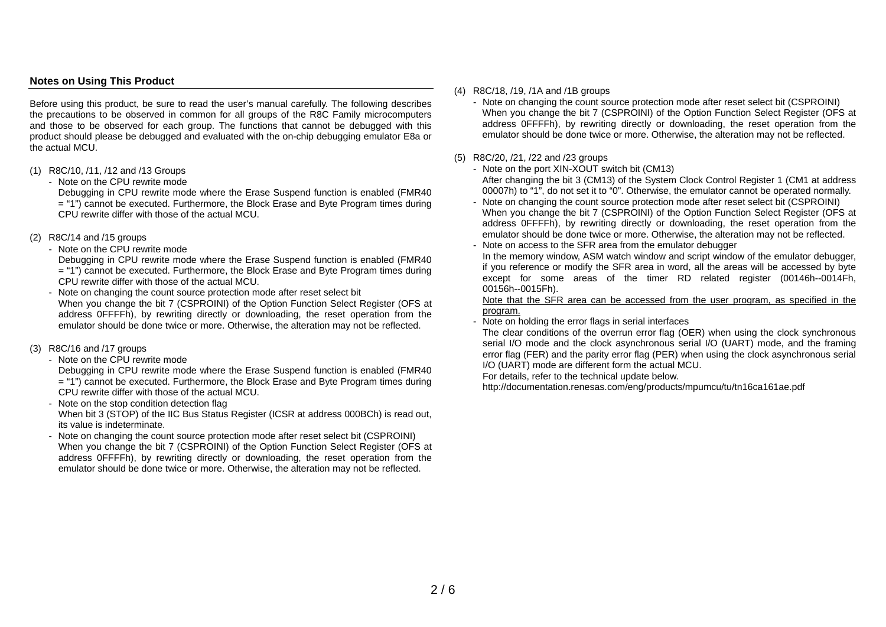# **Notes on Using This Product**

Before using this product, be sure to read the user's manual carefully. The following describes the precautions to be observed in common for all groups of the R8C Family microcomputers and those to be observed for each group. The functions that cannot be debugged with this product should please be debugged and evaluated with the on-chip debugging emulator E8a or the actual MCU.

- (1) R8C/10, /11, /12 and /13 Groups
	- Note on the CPU rewrite mode

Debugging in CPU rewrite mode where the Erase Suspend function is enabled (FMR40 <sup>=</sup>"1") cannot be executed. Furthermore, the Block Erase and Byte Program times during CPU rewrite differ with those of the actual MCU.

- (2) R8C/14 and /15 groups
	- Note on the CPU rewrite mode

Debugging in CPU rewrite mode where the Erase Suspend function is enabled (FMR40 <sup>=</sup>"1") cannot be executed. Furthermore, the Block Erase and Byte Program times during CPU rewrite differ with those of the actual MCU.

- Note on changing the count source protection mode after reset select bit When you change the bit 7 (CSPROINI) of the Option Function Select Register (OFS at address 0FFFFh), by rewriting directly or downloading, the reset operation from the emulator should be done twice or more. Otherwise, the alteration may not be reflected.
- (3) R8C/16 and /17 groups
	- Note on the CPU rewrite mode

Debugging in CPU rewrite mode where the Erase Suspend function is enabled (FMR40 <sup>=</sup>"1") cannot be executed. Furthermore, the Block Erase and Byte Program times during CPU rewrite differ with those of the actual MCU.

- Note on the stop condition detection flag When bit 3 (STOP) of the IIC Bus Status Register (ICSR at address 000BCh) is read out, its value is indeterminate.
- Note on changing the count source protection mode after reset select bit (CSPROINI) When you change the bit 7 (CSPROINI) of the Option Function Select Register (OFS at address 0FFFFh), by rewriting directly or downloading, the reset operation from the emulator should be done twice or more. Otherwise, the alteration may not be reflected.
- (4) R8C/18, /19, /1A and /1B groups
	- Note on changing the count source protection mode after reset select bit (CSPROINI) When you change the bit 7 (CSPROINI) of the Option Function Select Register (OFS at address 0FFFFh), by rewriting directly or downloading, the reset operation from the emulator should be done twice or more. Otherwise, the alteration may not be reflected.
- (5) R8C/20, /21, /22 and /23 groups
	- Note on the port XIN-XOUT switch bit (CM13) After changing the bit 3 (CM13) of the System Clock Control Register 1 (CM1 at address 00007h) to "1", do not set it to "0". Otherwise, the emulator cannot be operated normally.
	- Note on changing the count source protection mode after reset select bit (CSPROINI) When you change the bit 7 (CSPROINI) of the Option Function Select Register (OFS at address 0FFFFh), by rewriting directly or downloading, the reset operation from the emulator should be done twice or more. Otherwise, the alteration may not be reflected.
	- Note on access to the SFR area from the emulator debugger

In the memory window, ASM watch window and script window of the emulator debugger, if you reference or modify the SFR area in word, all the areas will be accessed by byte except for some areas of the timer RD related register (00146h--0014Fh, 00156h--0015Fh).

Note that the SFR area can be accessed from the user program, as specified in the program.

Note on holding the error flags in serial interfaces

The clear conditions of the overrun error flag (OER) when using the clock synchronous serial I/O mode and the clock asynchronous serial I/O (UART) mode, and the framing error flag (FER) and the parity error flag (PER) when using the clock asynchronous serial I/O (UART) mode are different form the actual MCU.

For details, refer to the technical update below.

http://documentation.renesas.com/eng/products/mpumcu/tu/tn16ca161ae.pdf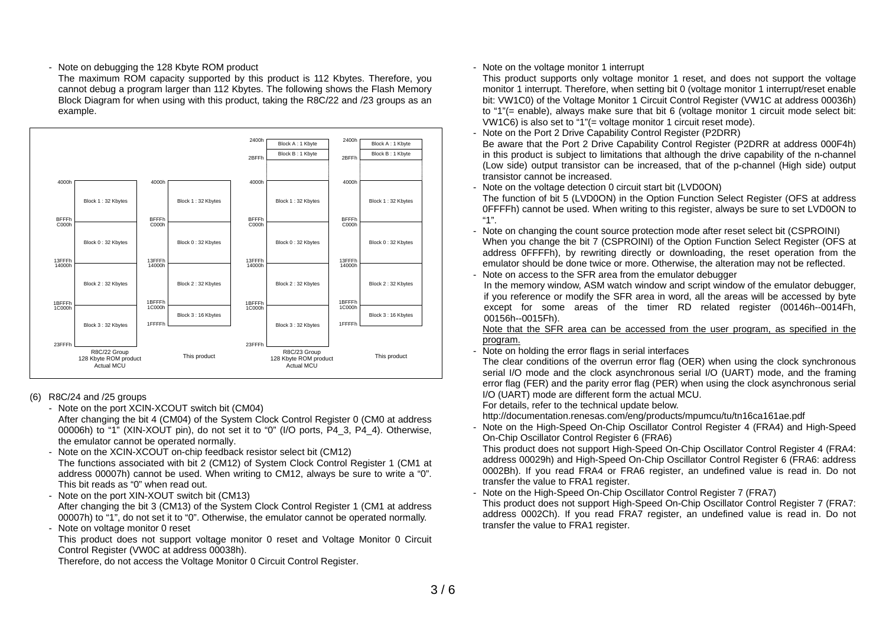## - Note on debugging the 128 Kbyte ROM product

The maximum ROM capacity supported by this product is 112 Kbytes. Therefore, you cannot debug a program larger than 112 Kbytes. The following shows the Flash Memory Block Diagram for when using with this product, taking the R8C/22 and /23 groups as an example.



### (6) R8C/24 and /25 groups

- Note on the port XCIN-XCOUT switch bit (CM04)

After changing the bit 4 (CM04) of the System Clock Control Register 0 (CM0 at address 00006h) to "1" (XIN-XOUT pin), do not set it to "0" (I/O ports, P4\_3, P4\_4). Otherwise, the emulator cannot be operated normally.

Note on the XCIN-XCOUT on-chip feedback resistor select bit (CM12) The functions associated with bit 2 (CM12) of System Clock Control Register 1 (CM1 at address 00007h) cannot be used. When writing to CM12, always be sure to write a "0". This bit reads as "0" when read out.

- Note on the port XIN-XOUT switch bit (CM13)

After changing the bit 3 (CM13) of the System Clock Control Register 1 (CM1 at address 00007h) to "1", do not set it to "0". Otherwise, the emulator cannot be operated normally.

- Note on voltage monitor 0 reset

This product does not support voltage monitor 0 reset and Voltage Monitor 0 Circuit Control Register (VW0C at address 00038h).

Therefore, do not access the Voltage Monitor 0 Circuit Control Register.

# - Note on the voltage monitor 1 interrupt

This product supports only voltage monitor 1 reset, and does not support the voltage monitor 1 interrupt. Therefore, when setting bit 0 (voltage monitor 1 interrupt/reset enable bit: VW1C0) of the Voltage Monitor 1 Circuit Control Register (VW1C at address 00036h) to "1"(= enable), always make sure that bit 6 (voltage monitor 1 circuit mode select bit: VW1C6) is also set to "1"(= voltage monitor 1 circuit reset mode).

Note on the Port 2 Drive Capability Control Register (P2DRR)

Be aware that the Port 2 Drive Capability Control Register (P2DRR at address 000F4h) in this product is subject to limitations that although the drive capability of the n-channel (Low side) output transistor can be increased, that of the p-channel (High side) output transistor cannot be increased.

- Note on the voltage detection 0 circuit start bit (LVD0ON)

The function of bit 5 (LVD0ON) in the Option Function Select Register (OFS at address 0FFFFh) cannot be used. When writing to this register, always be sure to set LVD0ON to "1".

- Note on changing the count source protection mode after reset select bit (CSPROINI) When you change the bit 7 (CSPROINI) of the Option Function Select Register (OFS at address 0FFFFh), by rewriting directly or downloading, the reset operation from the emulator should be done twice or more. Otherwise, the alteration may not be reflected.
- Note on access to the SFR area from the emulator debugger

In the memory window, ASM watch window and script window of the emulator debugger, if you reference or modify the SFR area in word, all the areas will be accessed by byte except for some areas of the timer RD related register (00146h--0014Fh, 00156h--0015Fh).

Note that the SFR area can be accessed from the user program, as specified in the program.

Note on holding the error flags in serial interfaces

The clear conditions of the overrun error flag (OER) when using the clock synchronous serial I/O mode and the clock asynchronous serial I/O (UART) mode, and the framing error flag (FER) and the parity error flag (PER) when using the clock asynchronous serial I/O (UART) mode are different form the actual MCU.

For details, refer to the technical update below.

http://documentation.renesas.com/eng/products/mpumcu/tu/tn16ca161ae.pdf

- Note on the High-Speed On-Chip Oscillator Control Register 4 (FRA4) and High-Speed On-Chip Oscillator Control Register 6 (FRA6)

This product does not support High-Speed On-Chip Oscillator Control Register 4 (FRA4: address 00029h) and High-Speed On-Chip Oscillator Control Register 6 (FRA6: address 0002Bh). If you read FRA4 or FRA6 register, an undefined value is read in. Do not transfer the value to FRA1 register.

- Note on the High-Speed On-Chip Oscillator Control Register 7 (FRA7)

This product does not support High-Speed On-Chip Oscillator Control Register 7 (FRA7: address 0002Ch). If you read FRA7 register, an undefined value is read in. Do not transfer the value to FRA1 register.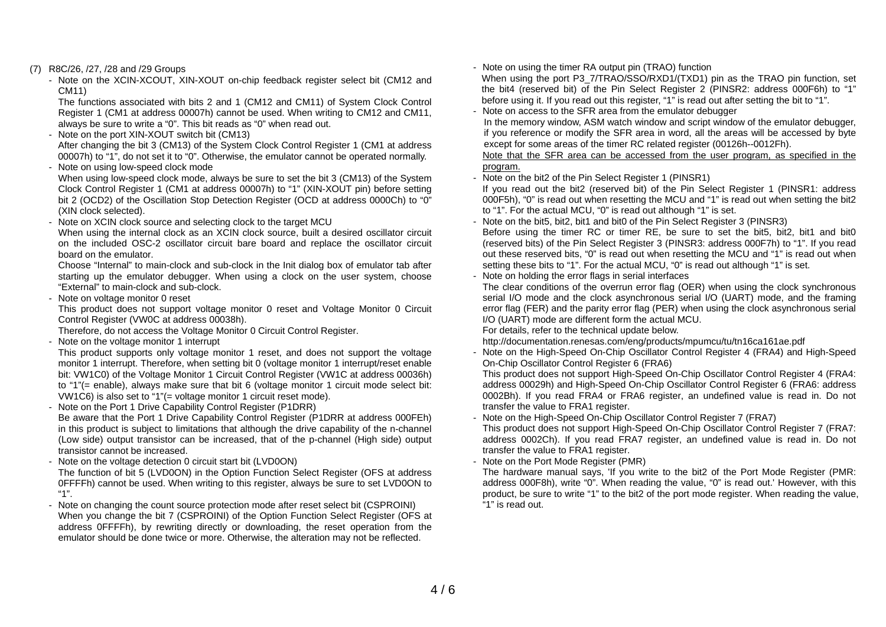- (7) R8C/26, /27, /28 and /29 Groups
	- Note on the XCIN-XCOUT, XIN-XOUT on-chip feedback register select bit (CM12 and CM11)

The functions associated with bits 2 and 1 (CM12 and CM11) of System Clock Control Register 1 (CM1 at address 00007h) cannot be used. When writing to CM12 and CM11, always be sure to write a "0". This bit reads as "0" when read out.

Note on the port XIN-XOUT switch bit (CM13)

After changing the bit 3 (CM13) of the System Clock Control Register 1 (CM1 at address 00007h) to "1", do not set it to "0". Otherwise, the emulator cannot be operated normally.

- Note on using low-speed clock mode

When using low-speed clock mode, always be sure to set the bit 3 (CM13) of the System Clock Control Register 1 (CM1 at address 00007h) to "1" (XIN-XOUT pin) before setting bit 2 (OCD2) of the Oscillation Stop Detection Register (OCD at address 0000Ch) to "0" (XIN clock selected).

- Note on XCIN clock source and selecting clock to the target MCU

When using the internal clock as an XCIN clock source, built a desired oscillator circuit on the included OSC-2 oscillator circuit bare board and replace the oscillator circuit board on the emulator.

Choose "Internal" to main-clock and sub-clock in the Init dialog box of emulator tab after starting up the emulator debugger. When using a clock on the user system, choose "External" to main-clock and sub-clock.

- Note on voltage monitor 0 reset

This product does not support voltage monitor 0 reset and Voltage Monitor 0 Circuit Control Register (VW0C at address 00038h).

Therefore, do not access the Voltage Monitor 0 Circuit Control Register.

Note on the voltage monitor 1 interrupt

This product supports only voltage monitor 1 reset, and does not support the voltage monitor 1 interrupt. Therefore, when setting bit 0 (voltage monitor 1 interrupt/reset enable bit: VW1C0) of the Voltage Monitor 1 Circuit Control Register (VW1C at address 00036h) to "1"(= enable), always make sure that bit 6 (voltage monitor 1 circuit mode select bit: VW1C6) is also set to "1"(= voltage monitor 1 circuit reset mode).

- Note on the Port 1 Drive Capability Control Register (P1DRR)

Be aware that the Port 1 Drive Capability Control Register (P1DRR at address 000FEh) in this product is subject to limitations that although the drive capability of the n-channel (Low side) output transistor can be increased, that of the p-channel (High side) output transistor cannot be increased.

- Note on the voltage detection 0 circuit start bit (LVD0ON)

The function of bit 5 (LVD0ON) in the Option Function Select Register (OFS at address 0FFFFh) cannot be used. When writing to this register, always be sure to set LVD0ON to "1".

- Note on changing the count source protection mode after reset select bit (CSPROINI) When you change the bit 7 (CSPROINI) of the Option Function Select Register (OFS at address 0FFFFh), by rewriting directly or downloading, the reset operation from the emulator should be done twice or more. Otherwise, the alteration may not be reflected.

- Note on using the timer RA output pin (TRAO) function When using the port P3\_7/TRAO/SSO/RXD1/(TXD1) pin as the TRAO pin function, set the bit4 (reserved bit) of the Pin Select Register 2 (PINSR2: address 000F6h) to "1" before using it. If you read out this register, "1" is read out after setting the bit to "1".
- Note on access to the SFR area from the emulator debugger In the memory window, ASM watch window and script window of the emulator debugger, if you reference or modify the SFR area in word, all the areas will be accessed by byte except for some areas of the timer RC related register (00126h--0012Fh).

Note that the SFR area can be accessed from the user program, as specified in the program.

- Note on the bit2 of the Pin Select Register 1 (PINSR1)

If you read out the bit2 (reserved bit) of the Pin Select Register 1 (PINSR1: address 000F5h), "0" is read out when resetting the MCU and "1" is read out when setting the bit2 to "1". For the actual MCU, "0" is read out although "1" is set.

- Note on the bit5, bit2, bit1 and bit0 of the Pin Select Register 3 (PINSR3) Before using the timer RC or timer RE, be sure to set the bit5, bit2, bit1 and bit0 (reserved bits) of the Pin Select Register 3 (PINSR3: address 000F7h) to "1". If you read out these reserved bits, "0" is read out when resetting the MCU and "1" is read out when setting these bits to "1". For the actual MCU, "0" is read out although "1" is set.
- Note on holding the error flags in serial interfaces

The clear conditions of the overrun error flag (OER) when using the clock synchronous serial I/O mode and the clock asynchronous serial I/O (UART) mode, and the framing error flag (FER) and the parity error flag (PER) when using the clock asynchronous serial I/O (UART) mode are different form the actual MCU.

For details, refer to the technical update below.

- http://documentation.renesas.com/eng/products/mpumcu/tu/tn16ca161ae.pdf
- Note on the High-Speed On-Chip Oscillator Control Register 4 (FRA4) and High-Speed On-Chip Oscillator Control Register 6 (FRA6)

This product does not support High-Speed On-Chip Oscillator Control Register 4 (FRA4: address 00029h) and High-Speed On-Chip Oscillator Control Register 6 (FRA6: address 0002Bh). If you read FRA4 or FRA6 register, an undefined value is read in. Do not transfer the value to FRA1 register.

- Note on the High-Speed On-Chip Oscillator Control Register 7 (FRA7)

This product does not support High-Speed On-Chip Oscillator Control Register 7 (FRA7: address 0002Ch). If you read FRA7 register, an undefined value is read in. Do not transfer the value to FRA1 register.

Note on the Port Mode Register (PMR)

The hardware manual says, 'If you write to the bit2 of the Port Mode Register (PMR: address 000F8h), write "0". When reading the value, "0" is read out.' However, with this product, be sure to write "1" to the bit2 of the port mode register. When reading the value, "1" is read out.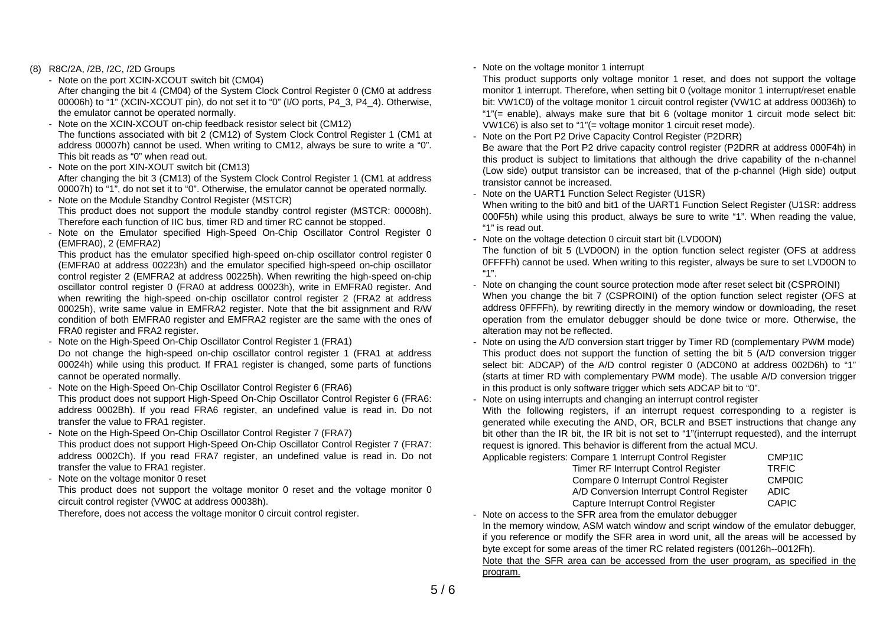### (8) R8C/2A, /2B, /2C, /2D Groups

- Note on the port XCIN-XCOUT switch bit (CM04)

After changing the bit 4 (CM04) of the System Clock Control Register 0 (CM0 at address 00006h) to "1" (XCIN-XCOUT pin), do not set it to "0" (I/O ports, P4\_3, P4\_4). Otherwise, the emulator cannot be operated normally.

- Note on the XCIN-XCOUT on-chip feedback resistor select bit (CM12) The functions associated with bit 2 (CM12) of System Clock Control Register 1 (CM1 at address 00007h) cannot be used. When writing to CM12, always be sure to write a "0". This bit reads as "0" when read out.
- Note on the port XIN-XOUT switch bit (CM13)
- After changing the bit 3 (CM13) of the System Clock Control Register 1 (CM1 at address 00007h) to "1", do not set it to "0". Otherwise, the emulator cannot be operated normally.
- Note on the Module Standby Control Register (MSTCR) This product does not support the module standby control register (MSTCR: 00008h). Therefore each function of IIC bus, timer RD and timer RC cannot be stopped.
- Note on the Emulator specified High-Speed On-Chip Oscillator Control Register 0 (EMFRA0), 2 (EMFRA2)

This product has the emulator specified high-speed on-chip oscillator control register 0 (EMFRA0 at address 00223h) and the emulator specified high-speed on-chip oscillator control register 2 (EMFRA2 at address 00225h). When rewriting the high-speed on-chip oscillator control register 0 (FRA0 at address 00023h), write in EMFRA0 register. And when rewriting the high-speed on-chip oscillator control register 2 (FRA2 at address 00025h), write same value in EMFRA2 register. Note that the bit assignment and R/W condition of both EMFRA0 register and EMFRA2 register are the same with the ones of FRA0 register and FRA2 register.

- Note on the High-Speed On-Chip Oscillator Control Register 1 (FRA1) Do not change the high-speed on-chip oscillator control register 1 (FRA1 at address 00024h) while using this product. If FRA1 register is changed, some parts of functions cannot be operated normally.
- Note on the High-Speed On-Chip Oscillator Control Register 6 (FRA6) This product does not support High-Speed On-Chip Oscillator Control Register 6 (FRA6: address 0002Bh). If you read FRA6 register, an undefined value is read in. Do not transfer the value to FRA1 register.
- Note on the High-Speed On-Chip Oscillator Control Register 7 (FRA7) This product does not support High-Speed On-Chip Oscillator Control Register 7 (FRA7: address 0002Ch). If you read FRA7 register, an undefined value is read in. Do not transfer the value to FRA1 register.
- Note on the voltage monitor 0 reset

This product does not support the voltage monitor 0 reset and the voltage monitor 0 circuit control register (VW0C at address 00038h).

Therefore, does not access the voltage monitor 0 circuit control register.

## - Note on the voltage monitor 1 interrupt

This product supports only voltage monitor 1 reset, and does not support the voltage monitor 1 interrupt. Therefore, when setting bit 0 (voltage monitor 1 interrupt/reset enable bit: VW1C0) of the voltage monitor 1 circuit control register (VW1C at address 00036h) to "1"(= enable), always make sure that bit 6 (voltage monitor 1 circuit mode select bit: VW1C6) is also set to "1"(= voltage monitor 1 circuit reset mode).

Note on the Port P2 Drive Capacity Control Register (P2DRR)

Be aware that the Port P2 drive capacity control register (P2DRR at address 000F4h) in this product is subject to limitations that although the drive capability of the n-channel (Low side) output transistor can be increased, that of the p-channel (High side) output transistor cannot be increased.

Note on the UART1 Function Select Register (U1SR)

When writing to the bit0 and bit1 of the UART1 Function Select Register (U1SR: address 000F5h) while using this product, always be sure to write "1". When reading the value, "1" is read out.

- Note on the voltage detection 0 circuit start bit (LVD0ON)

The function of bit 5 (LVD0ON) in the option function select register (OFS at address 0FFFFh) cannot be used. When writing to this register, always be sure to set LVD0ON to "1".

- Note on changing the count source protection mode after reset select bit (CSPROINI) When you change the bit 7 (CSPROINI) of the option function select register (OFS at address 0FFFFh), by rewriting directly in the memory window or downloading, the reset operation from the emulator debugger should be done twice or more. Otherwise, the alteration may not be reflected.
- Note on using the A/D conversion start trigger by Timer RD (complementary PWM mode) This product does not support the function of setting the bit 5 (A/D conversion trigger select bit: ADCAP) of the A/D control register 0 (ADC0N0 at address 002D6h) to "1" (starts at timer RD with complementary PWM mode). The usable A/D conversion trigger in this product is only software trigger which sets ADCAP bit to "0".
- Note on using interrupts and changing an interrupt control register

With the following registers, if an interrupt request corresponding to a register is generated while executing the AND, OR, BCLR and BSET instructions that change any bit other than the IR bit, the IR bit is not set to "1"(interrupt requested), and the interrupt request is ignored. This behavior is different from the actual MCU. Applicable

| e registers: Compare 1 Interrupt Control Register | CMP <sub>1IC</sub> |
|---------------------------------------------------|--------------------|
| Timer RF Interrupt Control Register               | <b>TRFIC</b>       |
| Compare 0 Interrupt Control Register              | <b>CMP0IC</b>      |
| A/D Conversion Interrupt Control Register         | <b>ADIC</b>        |
| Capture Interrupt Control Register                | <b>CAPIC</b>       |
|                                                   |                    |

- Note on access to the SFR area from the emulator debugger In the memory window, ASM watch window and script window of the emulator debugger, if you reference or modify the SFR area in word unit, all the areas will be accessed by byte except for some areas of the timer RC related registers (00126h--0012Fh). Note that the SFR area can be accessed from the user program, as specified in the

program.